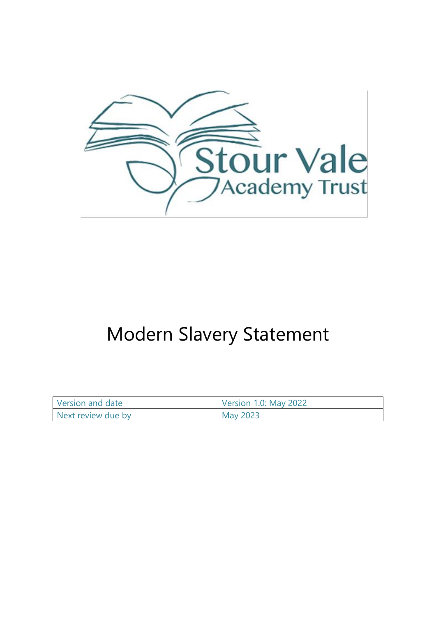

# Modern Slavery Statement

| Version and date   | <b>Version 1.0: May 2022</b> |
|--------------------|------------------------------|
| Next review due by | May 2023                     |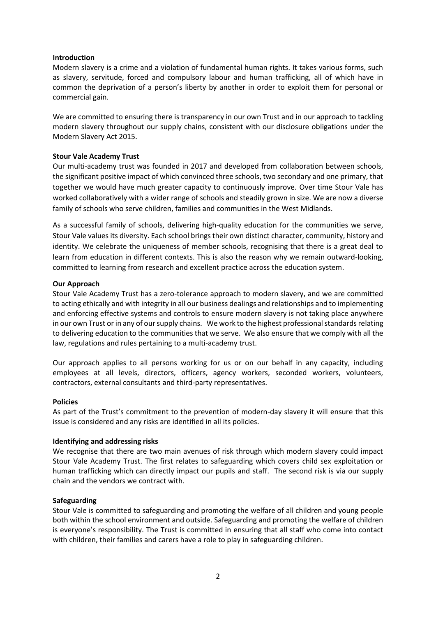## **Introduction**

Modern slavery is a crime and a violation of fundamental human rights. It takes various forms, such as slavery, servitude, forced and compulsory labour and human trafficking, all of which have in common the deprivation of a person's liberty by another in order to exploit them for personal or commercial gain.

We are committed to ensuring there is transparency in our own Trust and in our approach to tackling modern slavery throughout our supply chains, consistent with our disclosure obligations under the Modern Slavery Act 2015.

## **Stour Vale Academy Trust**

Our multi-academy trust was founded in 2017 and developed from collaboration between schools, the significant positive impact of which convinced three schools, two secondary and one primary, that together we would have much greater capacity to continuously improve. Over time Stour Vale has worked collaboratively with a wider range of schools and steadily grown in size. We are now a diverse family of schools who serve children, families and communities in the West Midlands.

As a successful family of schools, delivering high-quality education for the communities we serve, Stour Vale values its diversity. Each school brings their own distinct character, community, history and identity. We celebrate the uniqueness of member schools, recognising that there is a great deal to learn from education in different contexts. This is also the reason why we remain outward-looking, committed to learning from research and excellent practice across the education system.

## **Our Approach**

Stour Vale Academy Trust has a zero-tolerance approach to modern slavery, and we are committed to acting ethically and with integrity in all our business dealings and relationships and to implementing and enforcing effective systems and controls to ensure modern slavery is not taking place anywhere in our own Trust or in any of our supply chains. We work to the highest professional standards relating to delivering education to the communities that we serve. We also ensure that we comply with all the law, regulations and rules pertaining to a multi-academy trust.

Our approach applies to all persons working for us or on our behalf in any capacity, including employees at all levels, directors, officers, agency workers, seconded workers, volunteers, contractors, external consultants and third-party representatives.

#### **Policies**

As part of the Trust's commitment to the prevention of modern-day slavery it will ensure that this issue is considered and any risks are identified in all its policies.

# **Identifying and addressing risks**

We recognise that there are two main avenues of risk through which modern slavery could impact Stour Vale Academy Trust. The first relates to safeguarding which covers child sex exploitation or human trafficking which can directly impact our pupils and staff. The second risk is via our supply chain and the vendors we contract with.

# **Safeguarding**

Stour Vale is committed to safeguarding and promoting the welfare of all children and young people both within the school environment and outside. Safeguarding and promoting the welfare of children is everyone's responsibility. The Trust is committed in ensuring that all staff who come into contact with children, their families and carers have a role to play in safeguarding children.